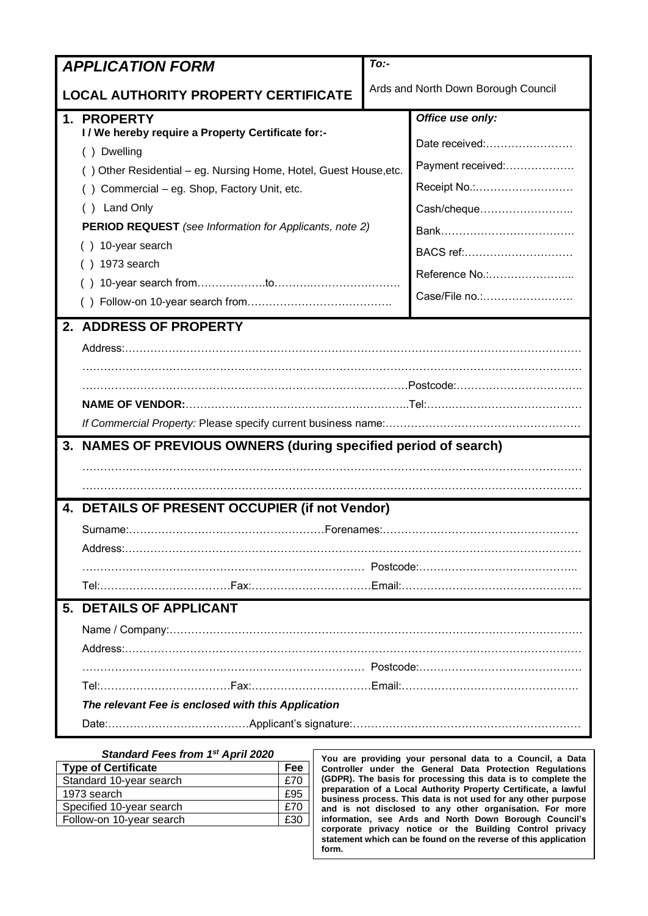| <b>APPLICATION FORM</b>                     |                                                                                                                | $To:$ -                             |                   |  |  |
|---------------------------------------------|----------------------------------------------------------------------------------------------------------------|-------------------------------------|-------------------|--|--|
| <b>LOCAL AUTHORITY PROPERTY CERTIFICATE</b> |                                                                                                                | Ards and North Down Borough Council |                   |  |  |
|                                             | 1. PROPERTY                                                                                                    |                                     | Office use only:  |  |  |
|                                             | I / We hereby require a Property Certificate for:-                                                             |                                     | Date received:    |  |  |
|                                             | () Dwelling                                                                                                    |                                     | Payment received: |  |  |
|                                             | () Other Residential - eg. Nursing Home, Hotel, Guest House, etc.<br>Commercial - eg. Shop, Factory Unit, etc. |                                     | Receipt No.:      |  |  |
|                                             | Land Only                                                                                                      |                                     | Cash/cheque       |  |  |
|                                             | <b>PERIOD REQUEST</b> (see Information for Applicants, note 2)                                                 |                                     |                   |  |  |
|                                             | () 10-year search                                                                                              |                                     |                   |  |  |
|                                             | ) 1973 search                                                                                                  |                                     | BACS ref:         |  |  |
|                                             |                                                                                                                |                                     |                   |  |  |
|                                             |                                                                                                                |                                     | Case/File no.:    |  |  |
|                                             | 2. ADDRESS OF PROPERTY                                                                                         |                                     |                   |  |  |
|                                             |                                                                                                                |                                     |                   |  |  |
|                                             |                                                                                                                |                                     |                   |  |  |
|                                             |                                                                                                                |                                     |                   |  |  |
|                                             |                                                                                                                |                                     |                   |  |  |
|                                             |                                                                                                                |                                     |                   |  |  |
|                                             | 3. NAMES OF PREVIOUS OWNERS (during specified period of search)                                                |                                     |                   |  |  |
|                                             |                                                                                                                |                                     |                   |  |  |
|                                             |                                                                                                                |                                     |                   |  |  |
|                                             | 4. DETAILS OF PRESENT OCCUPIER (if not Vendor)                                                                 |                                     |                   |  |  |
|                                             |                                                                                                                |                                     |                   |  |  |
|                                             |                                                                                                                |                                     |                   |  |  |
|                                             |                                                                                                                |                                     |                   |  |  |
|                                             |                                                                                                                |                                     |                   |  |  |
|                                             | 5. DETAILS OF APPLICANT                                                                                        |                                     |                   |  |  |
|                                             |                                                                                                                |                                     |                   |  |  |
|                                             |                                                                                                                |                                     |                   |  |  |
|                                             |                                                                                                                |                                     |                   |  |  |
|                                             |                                                                                                                |                                     |                   |  |  |
|                                             | The relevant Fee is enclosed with this Application                                                             |                                     |                   |  |  |
|                                             |                                                                                                                |                                     |                   |  |  |

| Standard Fees from 1st April 2020 |     |  |  |
|-----------------------------------|-----|--|--|
| <b>Type of Certificate</b>        | Fee |  |  |
| Standard 10-year search           | £70 |  |  |
| 1973 search                       | £95 |  |  |
| Specified 10-year search          | £70 |  |  |
| Follow-on 10-year search          | £30 |  |  |
|                                   |     |  |  |

**You are providing your personal data to a Council, a Data Controller under the General Data Protection Regulations (GDPR). The basis for processing this data is to complete the preparation of a Local Authority Property Certificate, a lawful business process. This data is not used for any other purpose and is not disclosed to any other organisation. For more information, see Ards and North Down Borough Council's corporate privacy notice or the Building Control privacy statement which can be found on the reverse of this application form.**